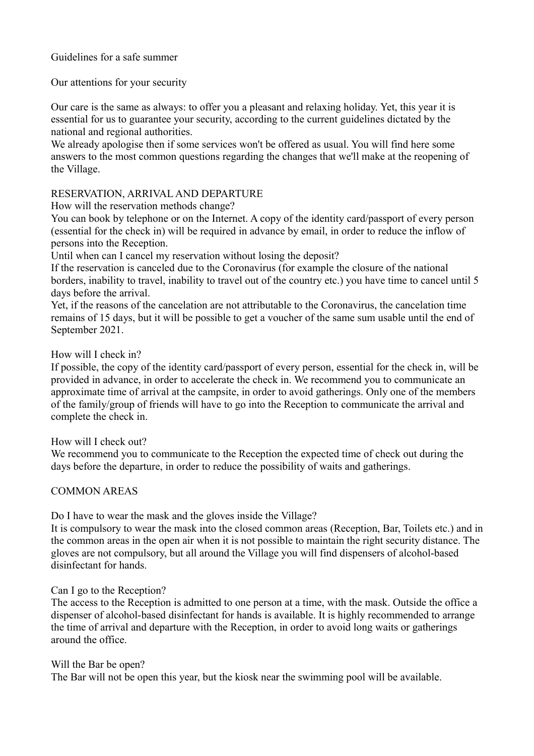Guidelines for a safe summer

Our attentions for your security

Our care is the same as always: to offer you a pleasant and relaxing holiday. Yet, this year it is essential for us to guarantee your security, according to the current guidelines dictated by the national and regional authorities.

We already apologise then if some services won't be offered as usual. You will find here some answers to the most common questions regarding the changes that we'll make at the reopening of the Village.

# RESERVATION, ARRIVAL AND DEPARTURE

How will the reservation methods change?

You can book by telephone or on the Internet. A copy of the identity card/passport of every person (essential for the check in) will be required in advance by email, in order to reduce the inflow of persons into the Reception.

Until when can I cancel my reservation without losing the deposit?

If the reservation is canceled due to the Coronavirus (for example the closure of the national borders, inability to travel, inability to travel out of the country etc.) you have time to cancel until 5 days before the arrival.

Yet, if the reasons of the cancelation are not attributable to the Coronavirus, the cancelation time remains of 15 days, but it will be possible to get a voucher of the same sum usable until the end of September 2021.

How will I check in?

If possible, the copy of the identity card/passport of every person, essential for the check in, will be provided in advance, in order to accelerate the check in. We recommend you to communicate an approximate time of arrival at the campsite, in order to avoid gatherings. Only one of the members of the family/group of friends will have to go into the Reception to communicate the arrival and complete the check in.

### How will I check out?

We recommend you to communicate to the Reception the expected time of check out during the days before the departure, in order to reduce the possibility of waits and gatherings.

# COMMON AREAS

Do I have to wear the mask and the gloves inside the Village?

It is compulsory to wear the mask into the closed common areas (Reception, Bar, Toilets etc.) and in the common areas in the open air when it is not possible to maintain the right security distance. The gloves are not compulsory, but all around the Village you will find dispensers of alcohol-based disinfectant for hands.

### Can I go to the Reception?

The access to the Reception is admitted to one person at a time, with the mask. Outside the office a dispenser of alcohol-based disinfectant for hands is available. It is highly recommended to arrange the time of arrival and departure with the Reception, in order to avoid long waits or gatherings around the office.

### Will the Bar be open?

The Bar will not be open this year, but the kiosk near the swimming pool will be available.